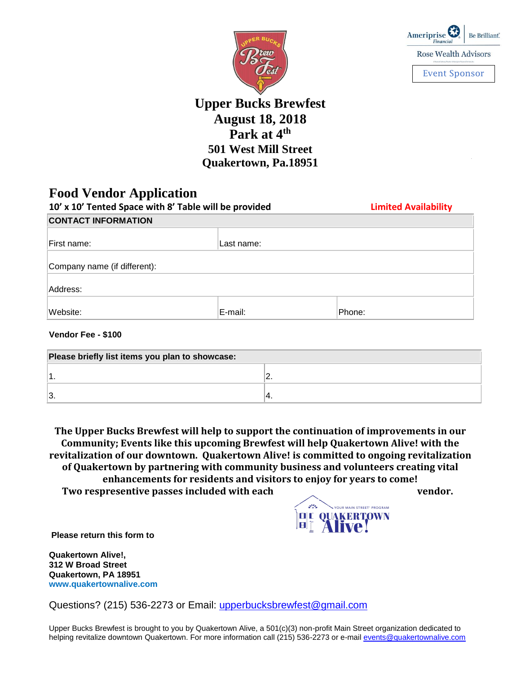



**Upper Bucks Brewfest August 18, 2018 Park at 4th 501 West Mill Street Quakertown, Pa.18951**

### **Food Vendor Application**

| 10' x 10' Tented Space with 8' Table will be provided |            | <b>Limited Availability</b> |  |
|-------------------------------------------------------|------------|-----------------------------|--|
| <b>CONTACT INFORMATION</b>                            |            |                             |  |
|                                                       |            |                             |  |
| First name:                                           | Last name: |                             |  |
| Company name (if different):                          |            |                             |  |
| Address:                                              |            |                             |  |
| Website:                                              | E-mail:    | Phone:                      |  |

#### **Vendor Fee - \$100**

| Please briefly list items you plan to showcase: |    |  |
|-------------------------------------------------|----|--|
|                                                 |    |  |
| 3.                                              | т. |  |

**The Upper Bucks Brewfest will help to support the continuation of improvements in our Community; Events like this upcoming Brewfest will help Quakertown Alive! with the revitalization of our downtown. Quakertown Alive! is committed to ongoing revitalization of Quakertown by partnering with community business and volunteers creating vital enhancements for residents and visitors to enjoy for years to come! Two respresentive passes included with each vendor.**

> 326 OUR MAIN STREET" PROGRAM **DE QUAKERTOWN**

**Please return this form to**

**Quakertown Alive!, 312 W Broad Street Quakertown, PA 18951 www.quakertownalive.com**

Questions? (215) 536-2273 or Email: [upperbucksbrewfest@gmail.com](mailto:upperbucksbrewfest@gmail.com)

Upper Bucks Brewfest is brought to you by Quakertown Alive, a 501(c)(3) non-profit Main Street organization dedicated to helping revitalize downtown Quakertown. For more information call (215) 536-2273 or e-mail [events@quakertownalive.com](mailto:events@quakertownalive.com)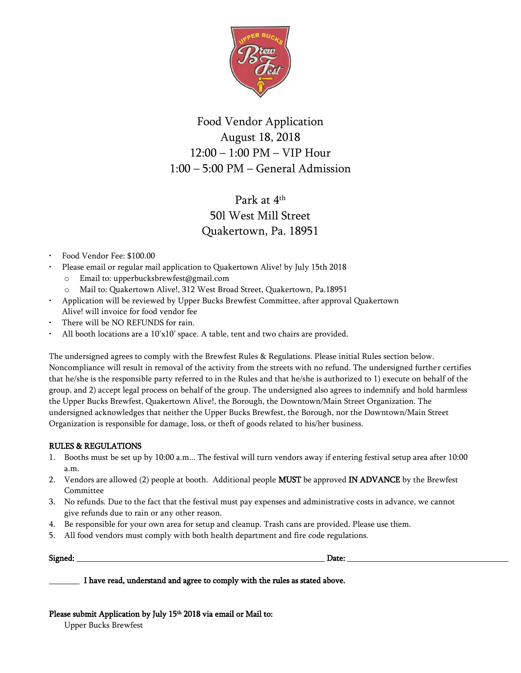

# Food Vendor Application August 18, 2018 12:00 – 1:00 PM – VIP Hour 1:00 – 5:00 PM – General Admission

# Park at 4<sup>th</sup> 50l West Mill Street Quakertown, Pa. 18951

- Food Vendor Fee: \$100.00
- Please email or regular mail application to Quakertown Alive! by July 15th 2018
	- o Email to: upperbucksbrewfest@gmail.com
	- o Mail to: Quakertown Alive!, 312 West Broad Street, Quakertown, Pa.18951
- Application will be reviewed by Upper Bucks Brewfest Committee, after approval Quakertown Alive! will invoice for food vendor fee
- There will be NO REFUNDS for rain.
- All booth locations are a  $10'x10'$  space. A table, tent and two chairs are provided.

The undersigned agrees to comply with the Brewfest Rules & Regulations. Please initial Rules section below. Noncompliance will result in removal of the activity from the streets with no refund. The undersigned further certifies that he/she is the responsible party referred to in the Rules and that he/she is authorized to 1) execute on behalf of the group, and 2) accept legal process on behalf of the group. The undersigned also agrees to indemnify and hold harmless the Upper Bucks Brewfest, Quakertown Alive!, the Borough, the Downtown/Main Street Organization. The undersigned acknowledges that neither the Upper Bucks Brewfest, the Borough, nor the Downtown/Main Street Organization is responsible for damage, loss, or theft of goods related to his/her business.

#### RULES & REGULATIONS

- 1. Booths must be set up by 10:00 a.m... The festival will turn vendors away if entering festival setup area after 10:00 a.m.
- 2. Vendors are allowed (2) people at booth. Additional people **MUST** be approved **IN ADVANCE** by the Brewfest Committee
- 3. No refunds. Due to the fact that the festival must pay expenses and administrative costs in advance, we cannot give refunds due to rain or any other reason.
- 4. Be responsible for your own area for setup and cleanup. Trash cans are provided. Please use them.
- 5. All food vendors must comply with both health department and fire code regulations.

Signed: Date:

I have read, understand and agree to comply with the rules as stated above.

Please submit Application by July 15<sup>th</sup> 2018 via email or Mail to: